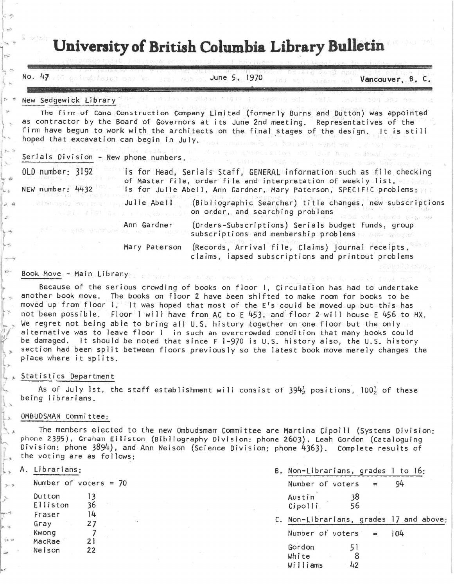# **University of British Columbia Library Bulletin**

| No. 47 in geledgiased and the sea mobile. June 5, 1970 |                                            | <b>MATTE INDUSTRIES</b>                                                                                                                                                                                                                                                                                                                              | Vancouver, B. C.                                     |
|--------------------------------------------------------|--------------------------------------------|------------------------------------------------------------------------------------------------------------------------------------------------------------------------------------------------------------------------------------------------------------------------------------------------------------------------------------------------------|------------------------------------------------------|
| New Sedgewick Library                                  |                                            | chos argeband there are properly with Trails. The chain relation and                                                                                                                                                                                                                                                                                 |                                                      |
| hoped that excavation can begin in July.               |                                            | The firm of Cana Construction Company Limited (formerly Burns and Dutton) was appointed<br>as contractor by the Board of Governors at its June 2nd meeting. Representatives of the<br>firm have begun to work with the architects on the final stages of the design. It is still<br>add a mail a landy in the page of each night and a last model of |                                                      |
| Serials Division - New phone numbers.                  |                                            | ten gan amerikative wa Talli Analis alamad was dyari                                                                                                                                                                                                                                                                                                 | the second with the second interest of the second or |
| OLD number: 3192<br>NEW number: 4432                   |                                            | is for Head, Serials Staff, GENERAL information such as file checking<br>of Master file, order file and interpretation of weekly list.<br>is for Julie Abell, Ann Gardner, Mary Paterson, SPECIFIC problems:                                                                                                                                         |                                                      |
| Signato por p                                          | Julie Abell<br>(bill), 최혈반 유통 및 Hing35mont | (Bibliographic Searcher) title changes, new subscriptions<br>on order, and searching problems                                                                                                                                                                                                                                                        | than 40 de million and                               |
| Film in your shall work as                             | Ann Gardner                                | (Orders-Subscriptions) Serials budget funds, group<br>subscriptions and membership problems a serviced                                                                                                                                                                                                                                               |                                                      |
|                                                        | Mary Paterson                              | (Records, Arrival file, Claims) journal receipts,<br>claims, lapsed subscriptions and printout problems                                                                                                                                                                                                                                              |                                                      |

Because of the serious crowding of books on floor 1, Circulation has had to undertake another book move. The books on floor 2 have been shifted to make room for books to be moved up from floor 1. It was hoped that most of the E's could be moved up but this has not been possible. Floor 1 wi11 have from AC to E 453, and' floor 2 will house E 456 to HX. We regret not being able to bring all U.S. history together on one floor but the only alternative was to leave floor 1 in such an overcrowded condition that many books could be damaged. It should be noted that since F 1-970 is U.S. history also, the U.S. history section had been split between floors previously so the latest book move merely changes the place where it splits.

#### Statistics Department

 $\overline{15}$ 

As of July 1st, the staff establishment will consist of  $394\frac{1}{2}$  positions, 100 $\frac{1}{2}$  of these being 1ibrarians.

### OMBUDSMAN Comm i t tee:

The members elected to the new Ombudsman Committee are Martina Cipolli (Systems Division: phone 2395), Graham Elliston (Bibliography Division; phone 2603), Leah Gordon (Cataloguing Division: phone 3894), and Ann Nelson (Science Division; phone 4363). Complete results of the voting are as follows;

| А. | Librarians:             |          |  |  |    | B. Non-Librarians, grades 1 to 16:   |  |
|----|-------------------------|----------|--|--|----|--------------------------------------|--|
|    | Number of voters = $70$ |          |  |  |    | Number of voters<br>94<br>$=$        |  |
|    | Dutton<br>Elliston      | 36       |  |  |    | Austin<br>38<br>56<br>Cipolli.       |  |
|    | Fraser<br>Gray          | 14<br>27 |  |  | С. | Non-Librarians, grades 17 and above: |  |
|    | Kwong                   |          |  |  |    | Number of voters<br>104<br>$\equiv$  |  |
|    | MacRae                  | 21       |  |  |    |                                      |  |
|    | Nelson                  | 22       |  |  |    | Gordon<br>White<br>Williams<br>42    |  |